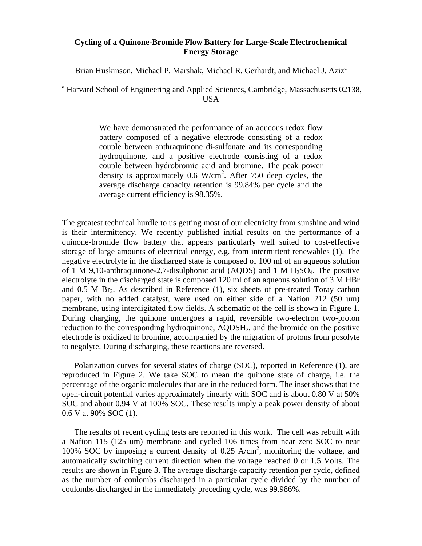## **Cycling of a Quinone-Bromide Flow Battery for Large-Scale Electrochemical Energy Storage**

Brian Huskinson, Michael P. Marshak, Michael R. Gerhardt, and Michael J. Aziz<sup>a</sup>

<sup>a</sup> Harvard School of Engineering and Applied Sciences, Cambridge, Massachusetts 02138, USA

> We have demonstrated the performance of an aqueous redox flow battery composed of a negative electrode consisting of a redox couple between anthraquinone di-sulfonate and its corresponding hydroquinone, and a positive electrode consisting of a redox couple between hydrobromic acid and bromine. The peak power density is approximately  $0.6 \text{ W/cm}^2$ . After 750 deep cycles, the average discharge capacity retention is 99.84% per cycle and the average current efficiency is 98.35%.

The greatest technical hurdle to us getting most of our electricity from sunshine and wind is their intermittency. We recently published initial results on the performance of a quinone-bromide flow battery that appears particularly well suited to cost-effective storage of large amounts of electrical energy, e.g. from intermittent renewables (1). The negative electrolyte in the discharged state is composed of 100 ml of an aqueous solution of 1 M 9,10-anthraquinone-2,7-disulphonic acid (AODS) and 1 M  $H_2SO_4$ . The positive electrolyte in the discharged state is composed 120 ml of an aqueous solution of 3 M HBr and  $0.5$  M Br<sub>2</sub>. As described in Reference  $(1)$ , six sheets of pre-treated Toray carbon paper, with no added catalyst, were used on either side of a Nafion 212 (50 um) membrane, using interdigitated flow fields. A schematic of the cell is shown in Figure 1. During charging, the quinone undergoes a rapid, reversible two-electron two-proton reduction to the corresponding hydroquinone,  $AQDSH<sub>2</sub>$ , and the bromide on the positive electrode is oxidized to bromine, accompanied by the migration of protons from posolyte to negolyte. During discharging, these reactions are reversed.

Polarization curves for several states of charge (SOC), reported in Reference (1), are reproduced in Figure 2. We take SOC to mean the quinone state of charge, i.e. the percentage of the organic molecules that are in the reduced form. The inset shows that the open-circuit potential varies approximately linearly with SOC and is about 0.80 V at 50% SOC and about 0.94 V at 100% SOC. These results imply a peak power density of about 0.6 V at 90% SOC (1).

The results of recent cycling tests are reported in this work. The cell was rebuilt with a Nafion 115 (125 um) membrane and cycled 106 times from near zero SOC to near 100% SOC by imposing a current density of 0.25 A/cm2 , monitoring the voltage, and automatically switching current direction when the voltage reached 0 or 1.5 Volts. The results are shown in Figure 3. The average discharge capacity retention per cycle, defined as the number of coulombs discharged in a particular cycle divided by the number of coulombs discharged in the immediately preceding cycle, was 99.986%.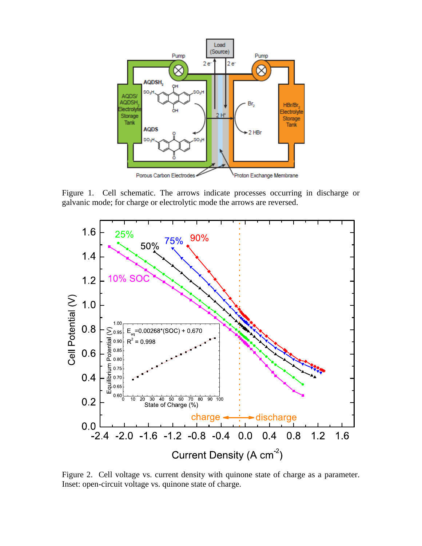

Figure 1. Cell schematic. The arrows indicate processes occurring in discharge or galvanic mode; for charge or electrolytic mode the arrows are reversed.



Figure 2. Cell voltage vs. current density with quinone state of charge as a parameter. Inset: open-circuit voltage vs. quinone state of charge.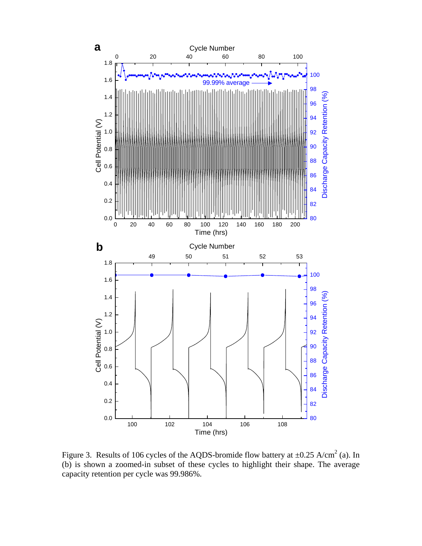

Figure 3. Results of 106 cycles of the AQDS-bromide flow battery at  $\pm 0.25$  A/cm<sup>2</sup> (a). In (b) is shown a zoomed-in subset of these cycles to highlight their shape. The average capacity retention per cycle was 99.986%.